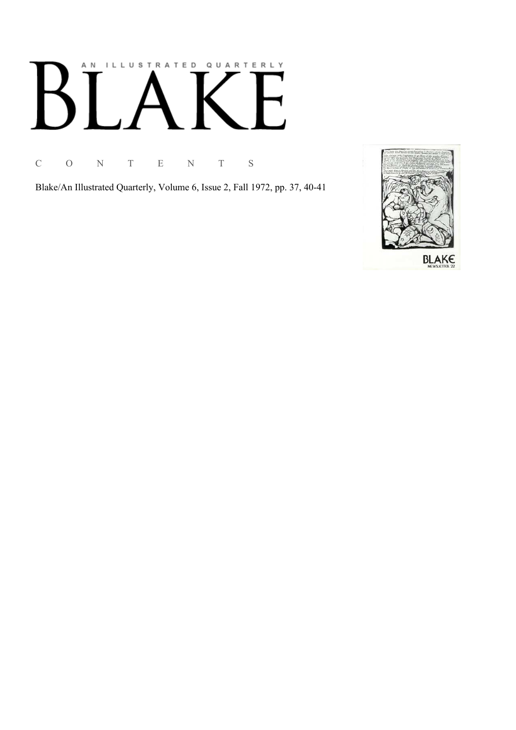## ILLUSTRATED QUARTERLY A N К

C O N T E N T S

Blake/An Illustrated Quarterly, Volume 6, Issue 2, Fall 1972, pp. 37, 40-41

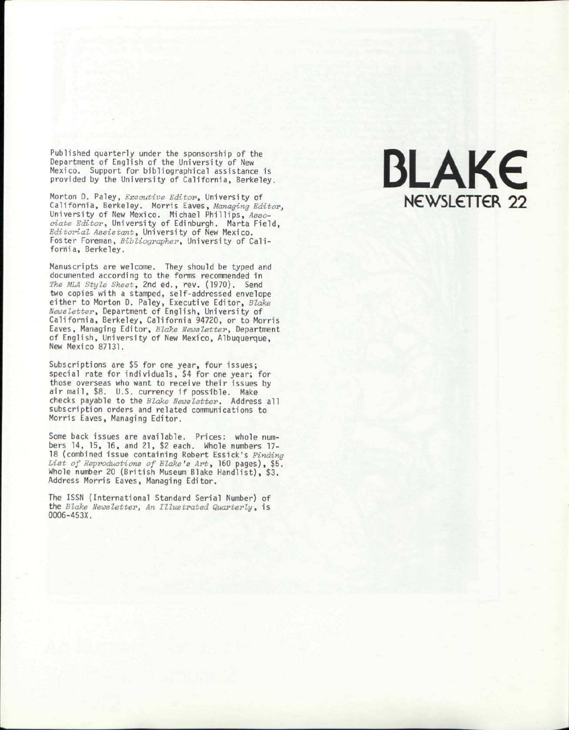Publishe d quarterl y unde r th e sponsorshi p o f the Departmen t o f Englis h o f th e Universit y o f New Mexico. Suppor t fo r bibliographical assistanc e is provide d b y th e Universit y o f California , Berkeley.

Morto n D. Paley , *Executive Editor\** Universit y of California, Berkeley. Morris Eaves, *Managing Editor*, Universit y o f New Mexico. Michael Phillips , *Associate Editor,* University of Edinburgh. Marta Field, *Editorial Assistant,* Universit y o f New Mexico. Foster Foreman, *Bibliographer*, University of California , Berkeley.

Manuscript s ar e welcome. The y shoul d b e type d and documente d accordin g t o th e form s recommende d in *The MLA Style Sheet,* 2n d ed. , rev. (1970). Send tw o copie s wit h a stamped , self-addresse d envelope eithe r t o Morto n D. Paley , Executiv e Editor , *Blake*  Newsletter, Department of English, University of California , Berkeley , Californi a 94720 , o r t o Morris Eaves , Managin g Editor , *Blake Newsletter,* Department of English, University of New Mexico, Albuquerque, New Mexic o 87131.

Subscription s ar e \$ 5 fo r on e year , fou r issues; special rat e fo r individuals , \$ 4 fo r on e year ; for thos e oversea s wh o wan t t o receiv e thei r issue s by air mail, \$8. U.S. currency if possible. Make checks payable to the *Blake Newsletter*. Address all subscription orders and related communications to Morri s Eaves , Managin g Editor.

Some back issues are available. Prices: whole numbers 14, 15, 16, and 21, \$2 each. Whole numbers 17-18 (combined issue containing Robert Essick's Finding *List of Reproductions of Blake's Art,* 16 0 pages) , \$5. Whol e numbe r 2 0 (Britis h Museu m Blak e Handlist) , \$3. Addres s Morri s Eaves , Managin g Editor.

Th e ISS N (International Standar d Serial Number ) of th e *Blake Newsletter^ An Illustrated Quarterly,* is 0006-453X.

# BLAK€ NEWSLETTER 22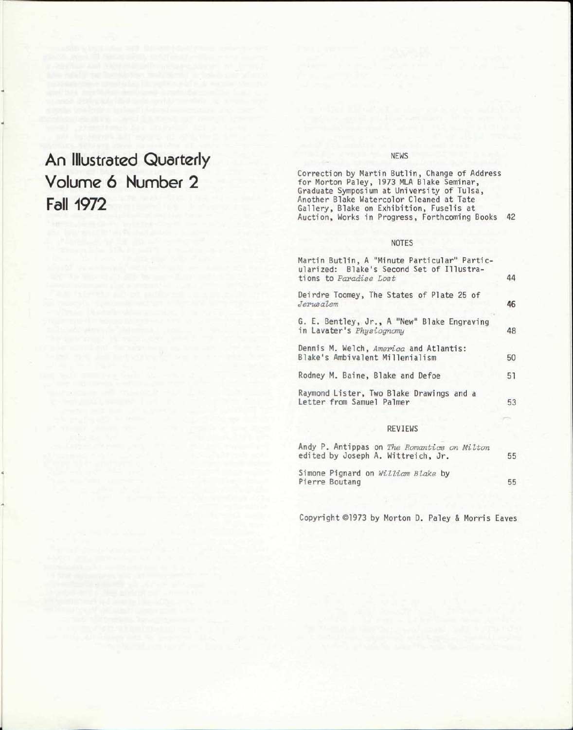### An Illustrated Quarterly Volume 6 Number 2 Fall 1972

#### NEWS

Correction by Martin Butlin, Change of Address for Morton Paley, 1973 MLA Blake Seminar, Graduate Symposium at University of Tulsa, Another Blake Watercolor Cleaned at Tate Gallery, Blake on Exhibition, Fuselis at Auction, Works in Progress, Forthcoming Books 42

#### NOTES

| Martin Butlin, A "Minute Particular" Partic-<br>ularized: Blake's Second Set of Illustra-<br>tions to Paradise Lost | 44 |
|---------------------------------------------------------------------------------------------------------------------|----|
| Deirdre Toomey, The States of Plate 25 of<br>Jerusalem                                                              | 46 |
| G. E. Bentley, Jr., A "New" Blake Engraving<br>in Lavater's Physiognamy                                             | 48 |
| Dennis M. Welch, America and Atlantis:<br>Blake's Ambivalent Millenialism                                           | 50 |
| Rodney M. Baine, Blake and Defoe                                                                                    | 51 |
| Raymond Lister, Two Blake Drawings and a<br>Letter from Samuel Palmer                                               | 53 |

#### REVIEWS

| Andy P. Antippas on The Romantics on Milton<br>edited by Joseph A. Wittreich, Jr. | 55 |
|-----------------------------------------------------------------------------------|----|
| Simone Pignard on William Blake by<br>Pierre Boutang                              | 55 |

Copyright ©1973 by Morton D. Paley & Morris Eaves